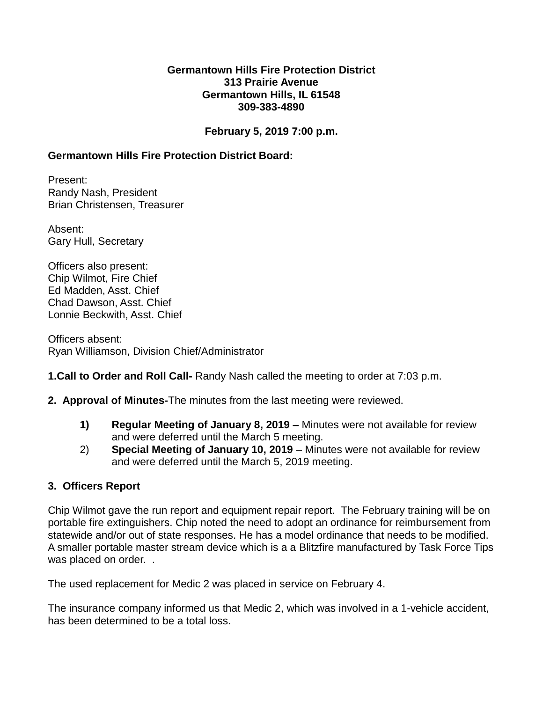#### **Germantown Hills Fire Protection District 313 Prairie Avenue Germantown Hills, IL 61548 309-383-4890**

## **February 5, 2019 7:00 p.m.**

# **Germantown Hills Fire Protection District Board:**

Present: Randy Nash, President Brian Christensen, Treasurer

Absent: Gary Hull, Secretary

Officers also present: Chip Wilmot, Fire Chief Ed Madden, Asst. Chief Chad Dawson, Asst. Chief Lonnie Beckwith, Asst. Chief

Officers absent: Ryan Williamson, Division Chief/Administrator

### **1.Call to Order and Roll Call-** Randy Nash called the meeting to order at 7:03 p.m.

- **2. Approval of Minutes-**The minutes from the last meeting were reviewed.
	- **1) Regular Meeting of January 8, 2019 –** Minutes were not available for review and were deferred until the March 5 meeting.
	- 2) **Special Meeting of January 10, 2019**  Minutes were not available for review and were deferred until the March 5, 2019 meeting.

### **3. Officers Report**

Chip Wilmot gave the run report and equipment repair report. The February training will be on portable fire extinguishers. Chip noted the need to adopt an ordinance for reimbursement from statewide and/or out of state responses. He has a model ordinance that needs to be modified. A smaller portable master stream device which is a a Blitzfire manufactured by Task Force Tips was placed on order. .

The used replacement for Medic 2 was placed in service on February 4.

The insurance company informed us that Medic 2, which was involved in a 1-vehicle accident, has been determined to be a total loss.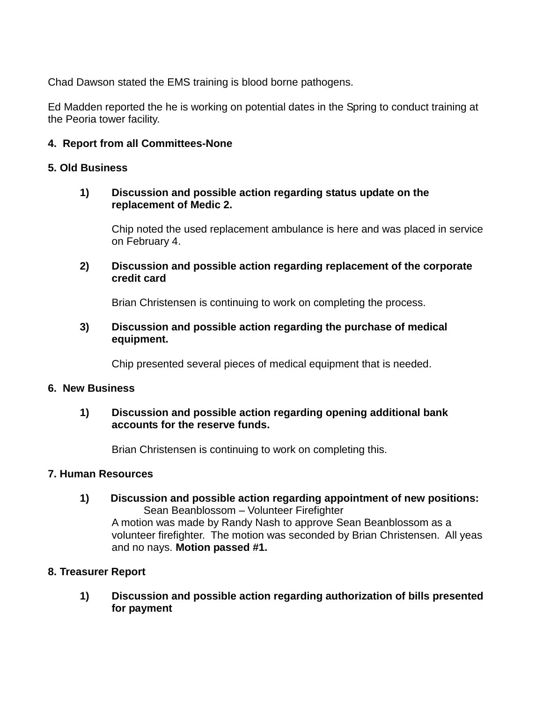Chad Dawson stated the EMS training is blood borne pathogens.

Ed Madden reported the he is working on potential dates in the Spring to conduct training at the Peoria tower facility.

# **4. Report from all Committees-None**

### **5. Old Business**

### **1) Discussion and possible action regarding status update on the replacement of Medic 2.**

Chip noted the used replacement ambulance is here and was placed in service on February 4.

**2) Discussion and possible action regarding replacement of the corporate credit card**

Brian Christensen is continuing to work on completing the process.

### **3) Discussion and possible action regarding the purchase of medical equipment.**

Chip presented several pieces of medical equipment that is needed.

#### **6. New Business**

# **1) Discussion and possible action regarding opening additional bank accounts for the reserve funds.**

Brian Christensen is continuing to work on completing this.

# **7. Human Resources**

**1) Discussion and possible action regarding appointment of new positions:** Sean Beanblossom – Volunteer Firefighter A motion was made by Randy Nash to approve Sean Beanblossom as a

volunteer firefighter. The motion was seconded by Brian Christensen. All yeas and no nays. **Motion passed #1.**

### **8. Treasurer Report**

**1) Discussion and possible action regarding authorization of bills presented for payment**